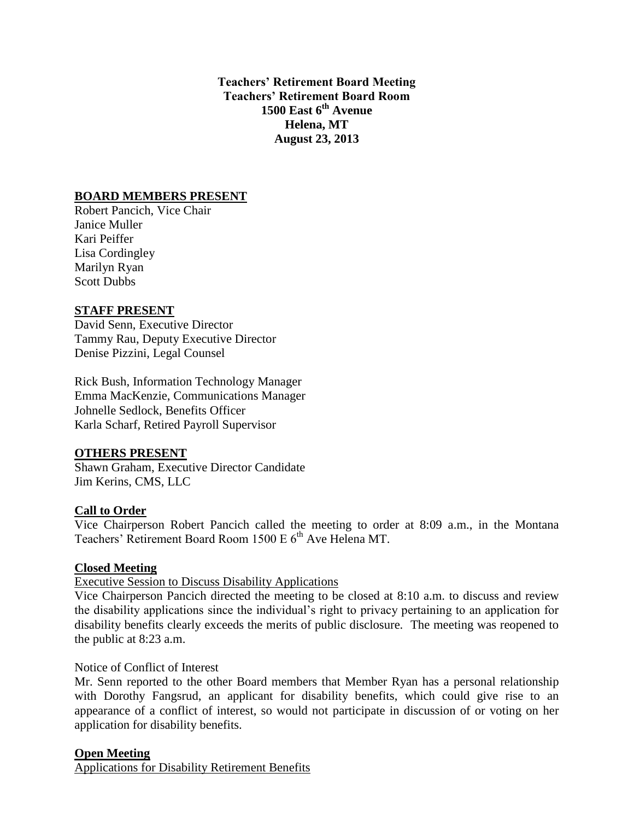**Teachers' Retirement Board Meeting Teachers' Retirement Board Room 1500 East 6th Avenue Helena, MT August 23, 2013**

# **BOARD MEMBERS PRESENT**

Robert Pancich, Vice Chair Janice Muller Kari Peiffer Lisa Cordingley Marilyn Ryan Scott Dubbs

# **STAFF PRESENT**

David Senn, Executive Director Tammy Rau, Deputy Executive Director Denise Pizzini, Legal Counsel

Rick Bush, Information Technology Manager Emma MacKenzie, Communications Manager Johnelle Sedlock, Benefits Officer Karla Scharf, Retired Payroll Supervisor

## **OTHERS PRESENT**

Shawn Graham, Executive Director Candidate Jim Kerins, CMS, LLC

## **Call to Order**

Vice Chairperson Robert Pancich called the meeting to order at 8:09 a.m., in the Montana Teachers' Retirement Board Room 1500 E 6<sup>th</sup> Ave Helena MT.

## **Closed Meeting**

## Executive Session to Discuss Disability Applications

Vice Chairperson Pancich directed the meeting to be closed at 8:10 a.m. to discuss and review the disability applications since the individual's right to privacy pertaining to an application for disability benefits clearly exceeds the merits of public disclosure. The meeting was reopened to the public at 8:23 a.m.

## Notice of Conflict of Interest

Mr. Senn reported to the other Board members that Member Ryan has a personal relationship with Dorothy Fangsrud, an applicant for disability benefits, which could give rise to an appearance of a conflict of interest, so would not participate in discussion of or voting on her application for disability benefits.

## **Open Meeting**

Applications for Disability Retirement Benefits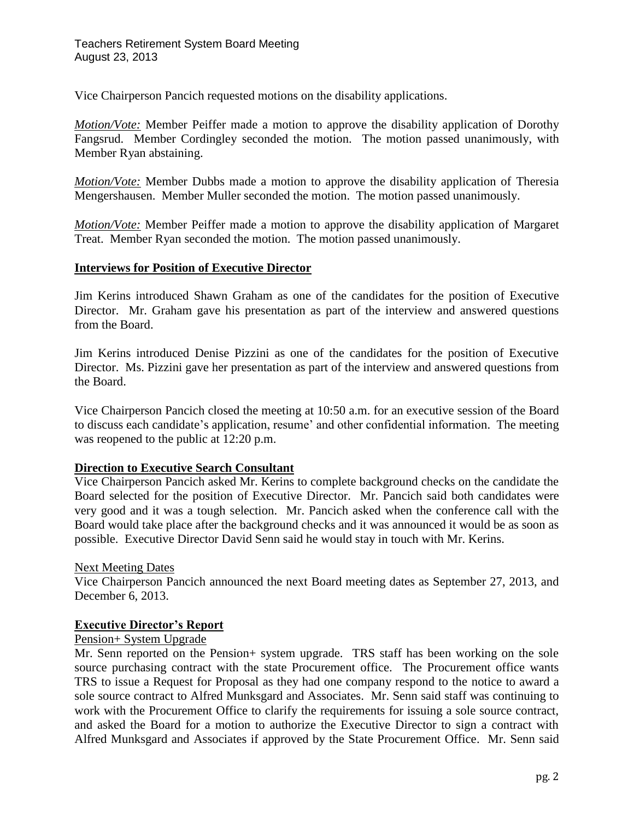Vice Chairperson Pancich requested motions on the disability applications.

*Motion/Vote:* Member Peiffer made a motion to approve the disability application of Dorothy Fangsrud. Member Cordingley seconded the motion. The motion passed unanimously, with Member Ryan abstaining.

*Motion/Vote:* Member Dubbs made a motion to approve the disability application of Theresia Mengershausen. Member Muller seconded the motion. The motion passed unanimously.

*Motion/Vote:* Member Peiffer made a motion to approve the disability application of Margaret Treat. Member Ryan seconded the motion. The motion passed unanimously.

## **Interviews for Position of Executive Director**

Jim Kerins introduced Shawn Graham as one of the candidates for the position of Executive Director. Mr. Graham gave his presentation as part of the interview and answered questions from the Board.

Jim Kerins introduced Denise Pizzini as one of the candidates for the position of Executive Director. Ms. Pizzini gave her presentation as part of the interview and answered questions from the Board.

Vice Chairperson Pancich closed the meeting at 10:50 a.m. for an executive session of the Board to discuss each candidate's application, resume' and other confidential information. The meeting was reopened to the public at 12:20 p.m.

## **Direction to Executive Search Consultant**

Vice Chairperson Pancich asked Mr. Kerins to complete background checks on the candidate the Board selected for the position of Executive Director. Mr. Pancich said both candidates were very good and it was a tough selection. Mr. Pancich asked when the conference call with the Board would take place after the background checks and it was announced it would be as soon as possible. Executive Director David Senn said he would stay in touch with Mr. Kerins.

## Next Meeting Dates

Vice Chairperson Pancich announced the next Board meeting dates as September 27, 2013, and December 6, 2013.

## **Executive Director's Report**

# Pension+ System Upgrade

Mr. Senn reported on the Pension+ system upgrade. TRS staff has been working on the sole source purchasing contract with the state Procurement office. The Procurement office wants TRS to issue a Request for Proposal as they had one company respond to the notice to award a sole source contract to Alfred Munksgard and Associates. Mr. Senn said staff was continuing to work with the Procurement Office to clarify the requirements for issuing a sole source contract, and asked the Board for a motion to authorize the Executive Director to sign a contract with Alfred Munksgard and Associates if approved by the State Procurement Office. Mr. Senn said